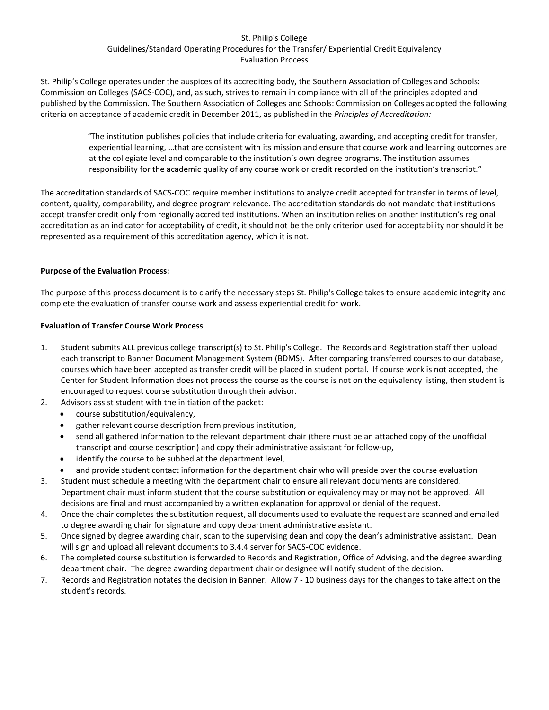## St. Philip's College Guidelines/Standard Operating Procedures for the Transfer/ Experiential Credit Equivalency Evaluation Process

St. Philip's College operates under the auspices of its accrediting body, the Southern Association of Colleges and Schools: Commission on Colleges (SACS-COC), and, as such, strives to remain in compliance with all of the principles adopted and published by the Commission. The Southern Association of Colleges and Schools: Commission on Colleges adopted the following criteria on acceptance of academic credit in December 2011, as published in the *Principles of Accreditation:* 

 *"*The institution publishes policies that include criteria for evaluating, awarding, and accepting credit for transfer, experiential learning, …that are consistent with its mission and ensure that course work and learning outcomes are at the collegiate level and comparable to the institution's own degree programs. The institution assumes responsibility for the academic quality of any course work or credit recorded on the institution's transcript."

The accreditation standards of SACS-COC require member institutions to analyze credit accepted for transfer in terms of level, content, quality, comparability, and degree program relevance. The accreditation standards do not mandate that institutions accept transfer credit only from regionally accredited institutions. When an institution relies on another institution's regional accreditation as an indicator for acceptability of credit, it should not be the only criterion used for acceptability nor should it be represented as a requirement of this accreditation agency, which it is not.

## **Purpose of the Evaluation Process:**

The purpose of this process document is to clarify the necessary steps St. Philip's College takes to ensure academic integrity and complete the evaluation of transfer course work and assess experiential credit for work.

## **Evaluation of Transfer Course Work Process**

- 1. Student submits ALL previous college transcript(s) to St. Philip's College. The Records and Registration staff then upload each transcript to Banner Document Management System (BDMS). After comparing transferred courses to our database, courses which have been accepted as transfer credit will be placed in student portal. If course work is not accepted, the Center for Student Information does not process the course as the course is not on the equivalency listing, then student is encouraged to request course substitution through their advisor.
- 2. Advisors assist student with the initiation of the packet:
	- course substitution/equivalency,
	- gather relevant course description from previous institution,
	- send all gathered information to the relevant department chair (there must be an attached copy of the unofficial transcript and course description) and copy their administrative assistant for follow-up,
	- identify the course to be subbed at the department level,
	- and provide student contact information for the department chair who will preside over the course evaluation
- 3. Student must schedule a meeting with the department chair to ensure all relevant documents are considered. Department chair must inform student that the course substitution or equivalency may or may not be approved. All decisions are final and must accompanied by a written explanation for approval or denial of the request.
- 4. Once the chair completes the substitution request, all documents used to evaluate the request are scanned and emailed to degree awarding chair for signature and copy department administrative assistant.
- 5. Once signed by degree awarding chair, scan to the supervising dean and copy the dean's administrative assistant. Dean will sign and upload all relevant documents to 3.4.4 server for SACS-COC evidence.
- 6. The completed course substitution is forwarded to Records and Registration, Office of Advising, and the degree awarding department chair. The degree awarding department chair or designee will notify student of the decision.
- 7. Records and Registration notates the decision in Banner. Allow 7 10 business days for the changes to take affect on the student's records.